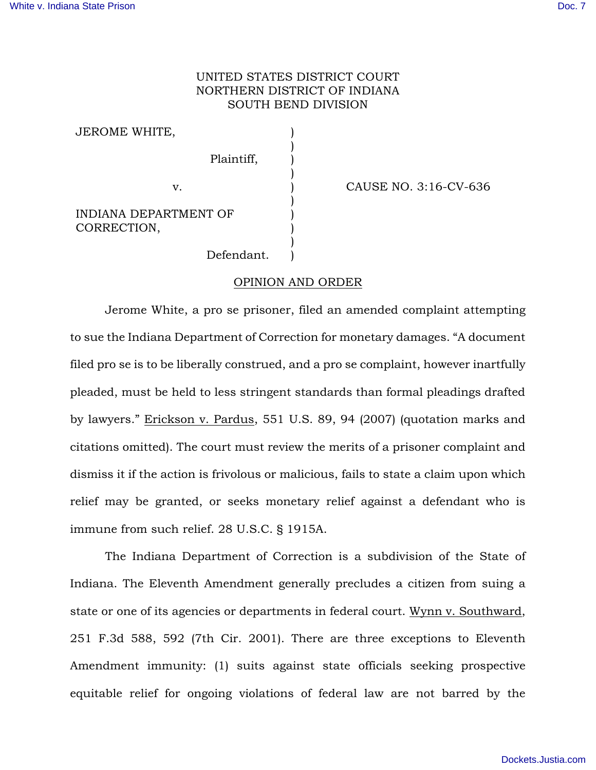## UNITED STATES DISTRICT COURT NORTHERN DISTRICT OF INDIANA SOUTH BEND DIVISION

) ) ) ) ) ) ) ) ) )

JEROME WHITE,

Plaintiff,

v. (2008) CAUSE NO. 3:16-CV-636

INDIANA DEPARTMENT OF CORRECTION,

Defendant.

## OPINION AND ORDER

 Jerome White, a pro se prisoner, filed an amended complaint attempting to sue the Indiana Department of Correction for monetary damages. "A document filed pro se is to be liberally construed, and a pro se complaint, however inartfully pleaded, must be held to less stringent standards than formal pleadings drafted by lawyers." Erickson v. Pardus, 551 U.S. 89, 94 (2007) (quotation marks and citations omitted). The court must review the merits of a prisoner complaint and dismiss it if the action is frivolous or malicious, fails to state a claim upon which relief may be granted, or seeks monetary relief against a defendant who is immune from such relief. 28 U.S.C. § 1915A.

 The Indiana Department of Correction is a subdivision of the State of Indiana. The Eleventh Amendment generally precludes a citizen from suing a state or one of its agencies or departments in federal court. Wynn v. Southward, 251 F.3d 588, 592 (7th Cir. 2001). There are three exceptions to Eleventh Amendment immunity: (1) suits against state officials seeking prospective equitable relief for ongoing violations of federal law are not barred by the